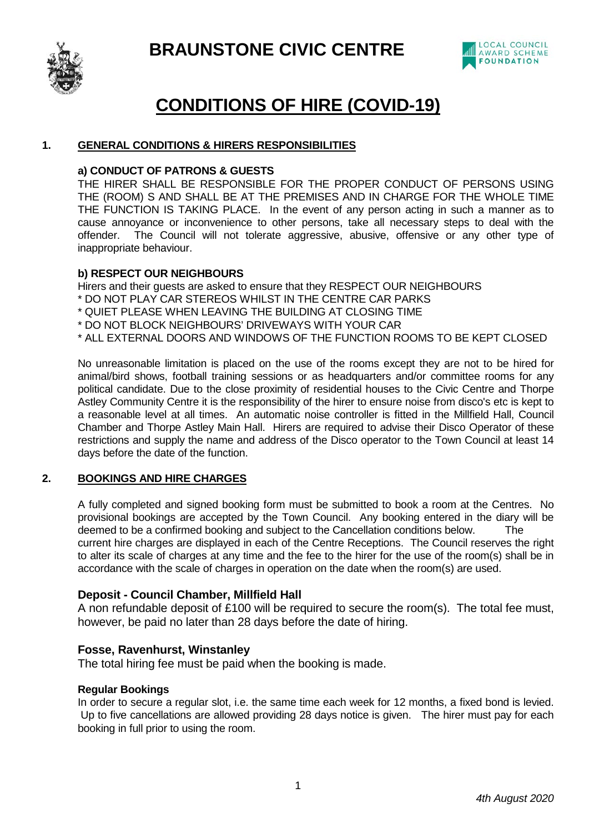



# **CONDITIONS OF HIRE (COVID-19)**

## **1. GENERAL CONDITIONS & HIRERS RESPONSIBILITIES**

#### **a) CONDUCT OF PATRONS & GUESTS**

THE HIRER SHALL BE RESPONSIBLE FOR THE PROPER CONDUCT OF PERSONS USING THE (ROOM) S AND SHALL BE AT THE PREMISES AND IN CHARGE FOR THE WHOLE TIME THE FUNCTION IS TAKING PLACE. In the event of any person acting in such a manner as to cause annoyance or inconvenience to other persons, take all necessary steps to deal with the offender. The Council will not tolerate aggressive, abusive, offensive or any other type of inappropriate behaviour.

## **b) RESPECT OUR NEIGHBOURS**

Hirers and their guests are asked to ensure that they RESPECT OUR NEIGHBOURS

- \* DO NOT PLAY CAR STEREOS WHILST IN THE CENTRE CAR PARKS
- \* QUIET PLEASE WHEN LEAVING THE BUILDING AT CLOSING TIME
- \* DO NOT BLOCK NEIGHBOURS' DRIVEWAYS WITH YOUR CAR
- \* ALL EXTERNAL DOORS AND WINDOWS OF THE FUNCTION ROOMS TO BE KEPT CLOSED

No unreasonable limitation is placed on the use of the rooms except they are not to be hired for animal/bird shows, football training sessions or as headquarters and/or committee rooms for any political candidate. Due to the close proximity of residential houses to the Civic Centre and Thorpe Astley Community Centre it is the responsibility of the hirer to ensure noise from disco's etc is kept to a reasonable level at all times. An automatic noise controller is fitted in the Millfield Hall, Council Chamber and Thorpe Astley Main Hall. Hirers are required to advise their Disco Operator of these restrictions and supply the name and address of the Disco operator to the Town Council at least 14 days before the date of the function.

## **2. BOOKINGS AND HIRE CHARGES**

A fully completed and signed booking form must be submitted to book a room at the Centres. No provisional bookings are accepted by the Town Council. Any booking entered in the diary will be deemed to be a confirmed booking and subject to the Cancellation conditions below. The current hire charges are displayed in each of the Centre Receptions. The Council reserves the right to alter its scale of charges at any time and the fee to the hirer for the use of the room(s) shall be in accordance with the scale of charges in operation on the date when the room(s) are used.

## **Deposit - Council Chamber, Millfield Hall**

A non refundable deposit of £100 will be required to secure the room(s). The total fee must, however, be paid no later than 28 days before the date of hiring.

## **Fosse, Ravenhurst, Winstanley**

The total hiring fee must be paid when the booking is made.

#### **Regular Bookings**

In order to secure a regular slot, i.e. the same time each week for 12 months, a fixed bond is levied. Up to five cancellations are allowed providing 28 days notice is given. The hirer must pay for each booking in full prior to using the room.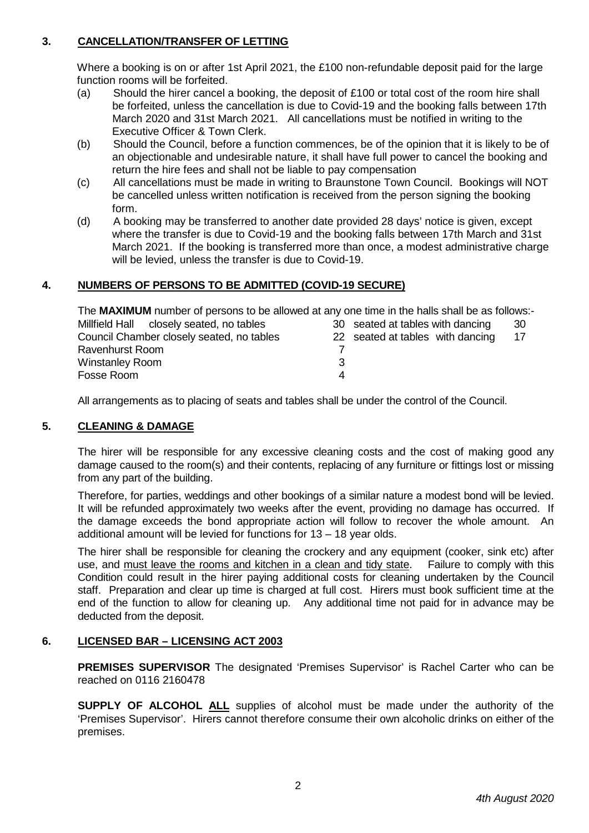# **3. CANCELLATION/TRANSFER OF LETTING**

Where a booking is on or after 1st April 2021, the £100 non-refundable deposit paid for the large function rooms will be forfeited.

- (a) Should the hirer cancel a booking, the deposit of £100 or total cost of the room hire shall be forfeited, unless the cancellation is due to Covid-19 and the booking falls between 17th March 2020 and 31st March 2021. All cancellations must be notified in writing to the Executive Officer & Town Clerk.
- (b) Should the Council, before a function commences, be of the opinion that it is likely to be of an objectionable and undesirable nature, it shall have full power to cancel the booking and return the hire fees and shall not be liable to pay compensation
- (c) All cancellations must be made in writing to Braunstone Town Council. Bookings will NOT be cancelled unless written notification is received from the person signing the booking form.
- (d) A booking may be transferred to another date provided 28 days' notice is given, except where the transfer is due to Covid-19 and the booking falls between 17th March and 31st March 2021. If the booking is transferred more than once, a modest administrative charge will be levied, unless the transfer is due to Covid-19.

# **4. NUMBERS OF PERSONS TO BE ADMITTED (COVID-19 SECURE)**

The **MAXIMUM** number of persons to be allowed at any one time in the halls shall be as follows:-

| Millfield Hall closely seated, no tables  | 30 seated at tables with dancing<br>30 |  |
|-------------------------------------------|----------------------------------------|--|
| Council Chamber closely seated, no tables | 22 seated at tables with dancing<br>17 |  |
| Ravenhurst Room                           |                                        |  |
| <b>Winstanley Room</b>                    |                                        |  |
| Fosse Room                                |                                        |  |

All arrangements as to placing of seats and tables shall be under the control of the Council.

## **5. CLEANING & DAMAGE**

The hirer will be responsible for any excessive cleaning costs and the cost of making good any damage caused to the room(s) and their contents, replacing of any furniture or fittings lost or missing from any part of the building.

Therefore, for parties, weddings and other bookings of a similar nature a modest bond will be levied. It will be refunded approximately two weeks after the event, providing no damage has occurred. If the damage exceeds the bond appropriate action will follow to recover the whole amount. An additional amount will be levied for functions for 13 – 18 year olds.

The hirer shall be responsible for cleaning the crockery and any equipment (cooker, sink etc) after use, and must leave the rooms and kitchen in a clean and tidy state. Failure to comply with this Condition could result in the hirer paying additional costs for cleaning undertaken by the Council staff. Preparation and clear up time is charged at full cost. Hirers must book sufficient time at the end of the function to allow for cleaning up. Any additional time not paid for in advance may be deducted from the deposit.

## **6. LICENSED BAR – LICENSING ACT 2003**

**PREMISES SUPERVISOR** The designated 'Premises Supervisor' is Rachel Carter who can be reached on 0116 2160478

**SUPPLY OF ALCOHOL ALL** supplies of alcohol must be made under the authority of the 'Premises Supervisor'. Hirers cannot therefore consume their own alcoholic drinks on either of the premises.